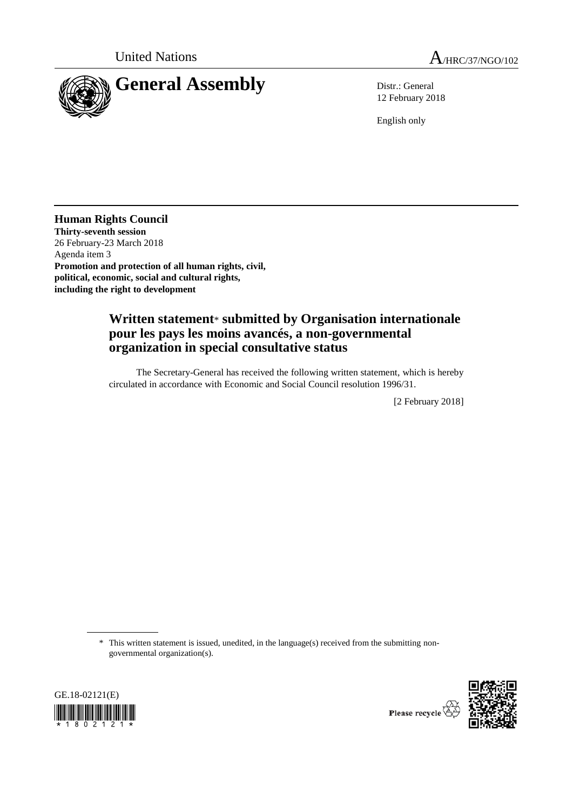



12 February 2018

English only

**Human Rights Council Thirty-seventh session** 26 February-23 March 2018 Agenda item 3 **Promotion and protection of all human rights, civil, political, economic, social and cultural rights, including the right to development**

## **Written statement**\* **submitted by Organisation internationale pour les pays les moins avancés, a non-governmental organization in special consultative status**

The Secretary-General has received the following written statement, which is hereby circulated in accordance with Economic and Social Council resolution 1996/31.

[2 February 2018]

\* This written statement is issued, unedited, in the language(s) received from the submitting nongovernmental organization(s).





Please recycle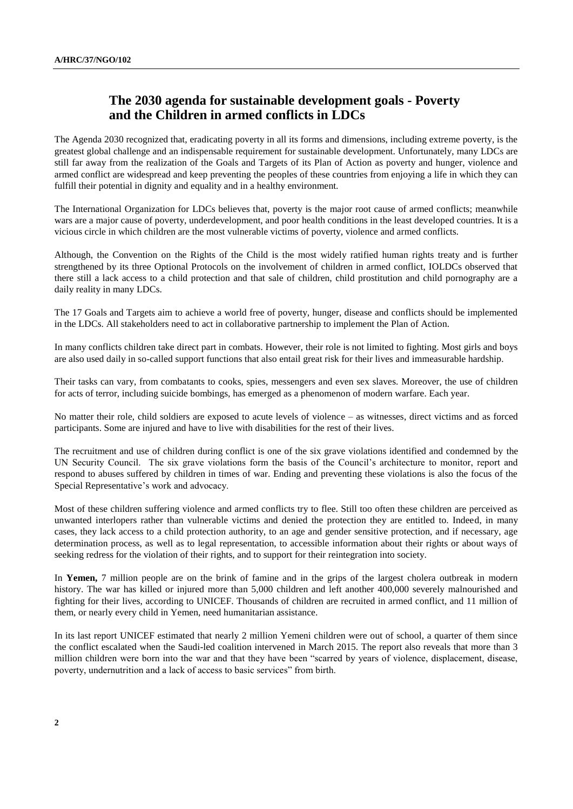## **The 2030 agenda for sustainable development goals - Poverty and the Children in armed conflicts in LDCs**

The Agenda 2030 recognized that, eradicating poverty in all its forms and dimensions, including extreme poverty, is the greatest global challenge and an indispensable requirement for sustainable development. Unfortunately, many LDCs are still far away from the realization of the Goals and Targets of its Plan of Action as poverty and hunger, violence and armed conflict are widespread and keep preventing the peoples of these countries from enjoying a life in which they can fulfill their potential in dignity and equality and in a healthy environment.

The International Organization for LDCs believes that, poverty is the major root cause of armed conflicts; meanwhile wars are a major cause of poverty, underdevelopment, and poor health conditions in the least developed countries. It is a vicious circle in which children are the most vulnerable victims of poverty, violence and armed conflicts.

Although, the Convention on the Rights of the Child is the most widely ratified human rights treaty and is further strengthened by its three Optional Protocols on the involvement of children in armed conflict, IOLDCs observed that there still a lack access to a child protection and that sale of children, child prostitution and child pornography are a daily reality in many LDCs.

The 17 Goals and Targets aim to achieve a world free of poverty, hunger, disease and conflicts should be implemented in the LDCs. All stakeholders need to act in collaborative partnership to implement the Plan of Action.

In many conflicts children take direct part in combats. However, their role is not limited to fighting. Most girls and boys are also used daily in so-called support functions that also entail great risk for their lives and immeasurable hardship.

Their tasks can vary, from combatants to cooks, spies, messengers and even sex slaves. Moreover, the use of children for acts of terror, including suicide bombings, has emerged as a phenomenon of modern warfare. Each year.

No matter their role, child soldiers are exposed to acute levels of violence – as witnesses, direct victims and as forced participants. Some are injured and have to live with disabilities for the rest of their lives.

The recruitment and use of children during conflict is one of the six grave violations identified and condemned by the UN Security Council. The six grave violations form the basis of the Council's architecture to monitor, report and respond to abuses suffered by children in times of war. Ending and preventing these violations is also the focus of the Special Representative's work and advocacy.

Most of these children suffering violence and armed conflicts try to flee. Still too often these children are perceived as unwanted interlopers rather than vulnerable victims and denied the protection they are entitled to. Indeed, in many cases, they lack access to a child protection authority, to an age and gender sensitive protection, and if necessary, age determination process, as well as to legal representation, to accessible information about their rights or about ways of seeking redress for the violation of their rights, and to support for their reintegration into society.

In **Yemen,** 7 million people are on the brink of famine and in the grips of the largest cholera outbreak in modern history. The war has killed or injured more than 5,000 children and left another 400,000 severely malnourished and fighting for their lives, according to UNICEF. Thousands of children are recruited in armed conflict, and 11 million of them, or nearly every child in Yemen, need humanitarian assistance.

In its last report UNICEF estimated that nearly 2 million Yemeni children were out of school, a quarter of them since the conflict escalated when the Saudi-led coalition intervened in March 2015. The report also reveals that more than 3 million children were born into the war and that they have been "scarred by years of violence, displacement, disease, poverty, undernutrition and a lack of access to basic services" from birth.